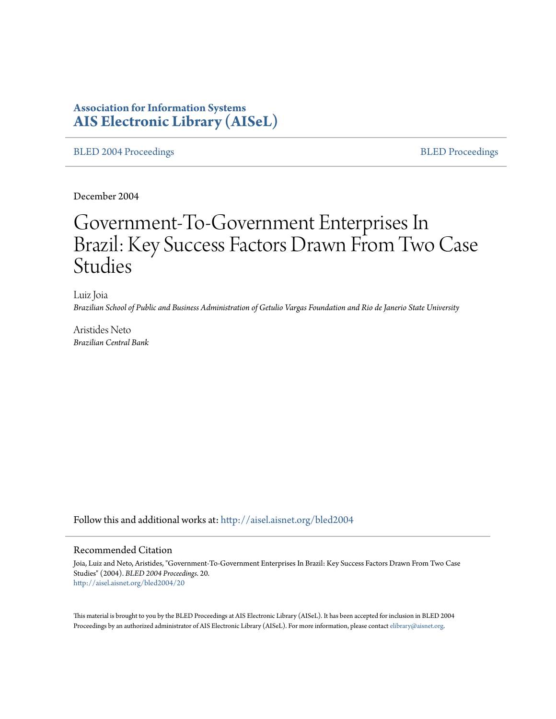# **Association for Information Systems [AIS Electronic Library \(AISeL\)](http://aisel.aisnet.org?utm_source=aisel.aisnet.org%2Fbled2004%2F20&utm_medium=PDF&utm_campaign=PDFCoverPages)**

#### [BLED 2004 Proceedings](http://aisel.aisnet.org/bled2004?utm_source=aisel.aisnet.org%2Fbled2004%2F20&utm_medium=PDF&utm_campaign=PDFCoverPages) **[BLED Proceedings](http://aisel.aisnet.org/bled?utm_source=aisel.aisnet.org%2Fbled2004%2F20&utm_medium=PDF&utm_campaign=PDFCoverPages)**

December 2004

# Government-To-Government Enterprises In Brazil: Key Success Factors Drawn From Two Case Studies

Luiz Joia *Brazilian School of Public and Business Administration of Getulio Vargas Foundation and Rio de Janerio State University*

Aristides Neto *Brazilian Central Bank*

Follow this and additional works at: [http://aisel.aisnet.org/bled2004](http://aisel.aisnet.org/bled2004?utm_source=aisel.aisnet.org%2Fbled2004%2F20&utm_medium=PDF&utm_campaign=PDFCoverPages)

#### Recommended Citation

Joia, Luiz and Neto, Aristides, "Government-To-Government Enterprises In Brazil: Key Success Factors Drawn From Two Case Studies" (2004). *BLED 2004 Proceedings*. 20. [http://aisel.aisnet.org/bled2004/20](http://aisel.aisnet.org/bled2004/20?utm_source=aisel.aisnet.org%2Fbled2004%2F20&utm_medium=PDF&utm_campaign=PDFCoverPages)

This material is brought to you by the BLED Proceedings at AIS Electronic Library (AISeL). It has been accepted for inclusion in BLED 2004 Proceedings by an authorized administrator of AIS Electronic Library (AISeL). For more information, please contact [elibrary@aisnet.org](mailto:elibrary@aisnet.org%3E).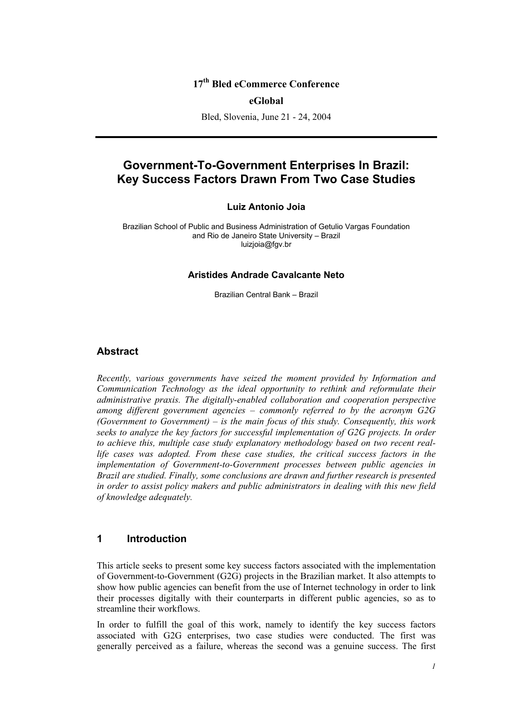## **17th Bled eCommerce Conference**

#### **eGlobal**

Bled, Slovenia, June 21 - 24, 2004

# **Government-To-Government Enterprises In Brazil: Key Success Factors Drawn From Two Case Studies**

#### **Luiz Antonio Joia**

Brazilian School of Public and Business Administration of Getulio Vargas Foundation and Rio de Janeiro State University – Brazil luizjoia@fgv.br

#### **Aristides Andrade Cavalcante Neto**

Brazilian Central Bank – Brazil

#### **Abstract**

*Recently, various governments have seized the moment provided by Information and Communication Technology as the ideal opportunity to rethink and reformulate their administrative praxis. The digitally-enabled collaboration and cooperation perspective among different government agencies – commonly referred to by the acronym G2G (Government to Government) – is the main focus of this study. Consequently, this work seeks to analyze the key factors for successful implementation of G2G projects. In order to achieve this, multiple case study explanatory methodology based on two recent reallife cases was adopted. From these case studies, the critical success factors in the implementation of Government-to-Government processes between public agencies in Brazil are studied. Finally, some conclusions are drawn and further research is presented in order to assist policy makers and public administrators in dealing with this new field of knowledge adequately.* 

## **1 Introduction**

This article seeks to present some key success factors associated with the implementation of Government-to-Government (G2G) projects in the Brazilian market. It also attempts to show how public agencies can benefit from the use of Internet technology in order to link their processes digitally with their counterparts in different public agencies, so as to streamline their workflows.

In order to fulfill the goal of this work, namely to identify the key success factors associated with G2G enterprises, two case studies were conducted. The first was generally perceived as a failure, whereas the second was a genuine success. The first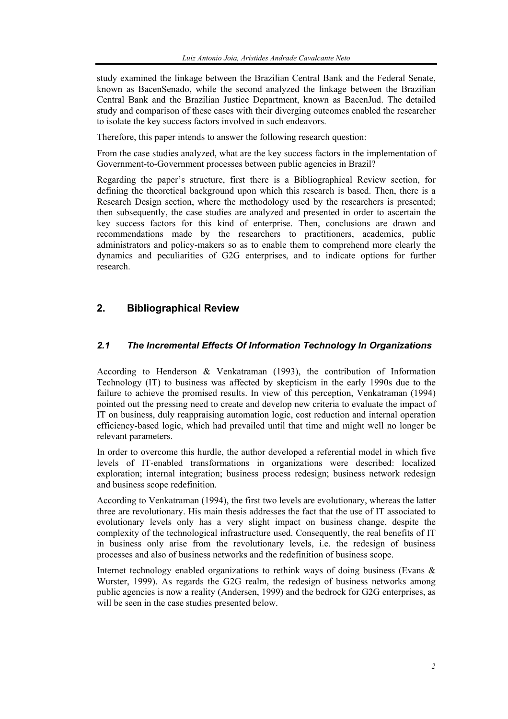study examined the linkage between the Brazilian Central Bank and the Federal Senate, known as BacenSenado, while the second analyzed the linkage between the Brazilian Central Bank and the Brazilian Justice Department, known as BacenJud. The detailed study and comparison of these cases with their diverging outcomes enabled the researcher to isolate the key success factors involved in such endeavors.

Therefore, this paper intends to answer the following research question:

From the case studies analyzed, what are the key success factors in the implementation of Government-to-Government processes between public agencies in Brazil?

Regarding the paper's structure, first there is a Bibliographical Review section, for defining the theoretical background upon which this research is based. Then, there is a Research Design section, where the methodology used by the researchers is presented; then subsequently, the case studies are analyzed and presented in order to ascertain the key success factors for this kind of enterprise. Then, conclusions are drawn and recommendations made by the researchers to practitioners, academics, public administrators and policy-makers so as to enable them to comprehend more clearly the dynamics and peculiarities of G2G enterprises, and to indicate options for further research.

## **2. Bibliographical Review**

#### *2.1 The Incremental Effects Of Information Technology In Organizations*

According to Henderson & Venkatraman (1993), the contribution of Information Technology (IT) to business was affected by skepticism in the early 1990s due to the failure to achieve the promised results. In view of this perception, Venkatraman (1994) pointed out the pressing need to create and develop new criteria to evaluate the impact of IT on business, duly reappraising automation logic, cost reduction and internal operation efficiency-based logic, which had prevailed until that time and might well no longer be relevant parameters.

In order to overcome this hurdle, the author developed a referential model in which five levels of IT-enabled transformations in organizations were described: localized exploration; internal integration; business process redesign; business network redesign and business scope redefinition.

According to Venkatraman (1994), the first two levels are evolutionary, whereas the latter three are revolutionary. His main thesis addresses the fact that the use of IT associated to evolutionary levels only has a very slight impact on business change, despite the complexity of the technological infrastructure used. Consequently, the real benefits of IT in business only arise from the revolutionary levels, i.e. the redesign of business processes and also of business networks and the redefinition of business scope.

Internet technology enabled organizations to rethink ways of doing business (Evans & Wurster, 1999). As regards the G2G realm, the redesign of business networks among public agencies is now a reality (Andersen, 1999) and the bedrock for G2G enterprises, as will be seen in the case studies presented below.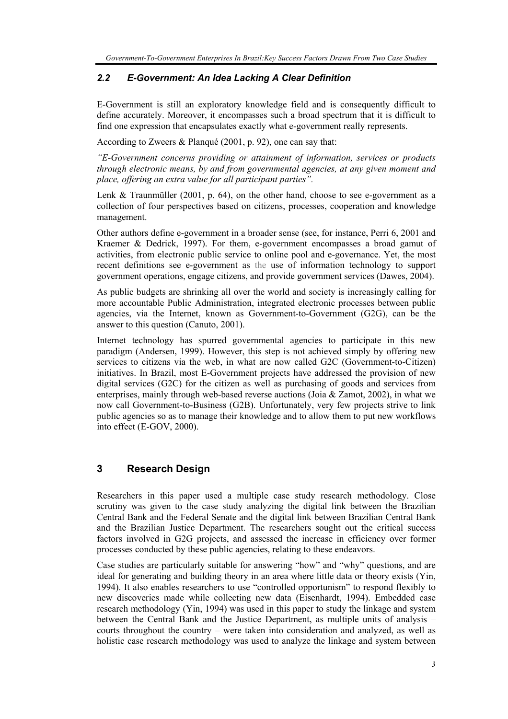## *2.2 E-Government: An Idea Lacking A Clear Definition*

E-Government is still an exploratory knowledge field and is consequently difficult to define accurately. Moreover, it encompasses such a broad spectrum that it is difficult to find one expression that encapsulates exactly what e-government really represents.

According to Zweers & Planqué (2001, p. 92), one can say that:

*"E-Government concerns providing or attainment of information, services or products through electronic means, by and from governmental agencies, at any given moment and place, offering an extra value for all participant parties".* 

Lenk & Traunmüller (2001, p. 64), on the other hand, choose to see e-government as a collection of four perspectives based on citizens, processes, cooperation and knowledge management.

Other authors define e-government in a broader sense (see, for instance, Perri 6, 2001 and Kraemer & Dedrick, 1997). For them, e-government encompasses a broad gamut of activities, from electronic public service to online pool and e-governance. Yet, the most recent definitions see e-government as the use of information technology to support government operations, engage citizens, and provide government services (Dawes, 2004).

As public budgets are shrinking all over the world and society is increasingly calling for more accountable Public Administration, integrated electronic processes between public agencies, via the Internet, known as Government-to-Government (G2G), can be the answer to this question (Canuto, 2001).

Internet technology has spurred governmental agencies to participate in this new paradigm (Andersen, 1999). However, this step is not achieved simply by offering new services to citizens via the web, in what are now called G2C (Government-to-Citizen) initiatives. In Brazil, most E-Government projects have addressed the provision of new digital services (G2C) for the citizen as well as purchasing of goods and services from enterprises, mainly through web-based reverse auctions (Joia & Zamot, 2002), in what we now call Government-to-Business (G2B). Unfortunately, very few projects strive to link public agencies so as to manage their knowledge and to allow them to put new workflows into effect (E-GOV, 2000).

## **3 Research Design**

Researchers in this paper used a multiple case study research methodology. Close scrutiny was given to the case study analyzing the digital link between the Brazilian Central Bank and the Federal Senate and the digital link between Brazilian Central Bank and the Brazilian Justice Department. The researchers sought out the critical success factors involved in G2G projects, and assessed the increase in efficiency over former processes conducted by these public agencies, relating to these endeavors.

Case studies are particularly suitable for answering "how" and "why" questions, and are ideal for generating and building theory in an area where little data or theory exists (Yin, 1994). It also enables researchers to use "controlled opportunism" to respond flexibly to new discoveries made while collecting new data (Eisenhardt, 1994). Embedded case research methodology (Yin, 1994) was used in this paper to study the linkage and system between the Central Bank and the Justice Department, as multiple units of analysis – courts throughout the country – were taken into consideration and analyzed, as well as holistic case research methodology was used to analyze the linkage and system between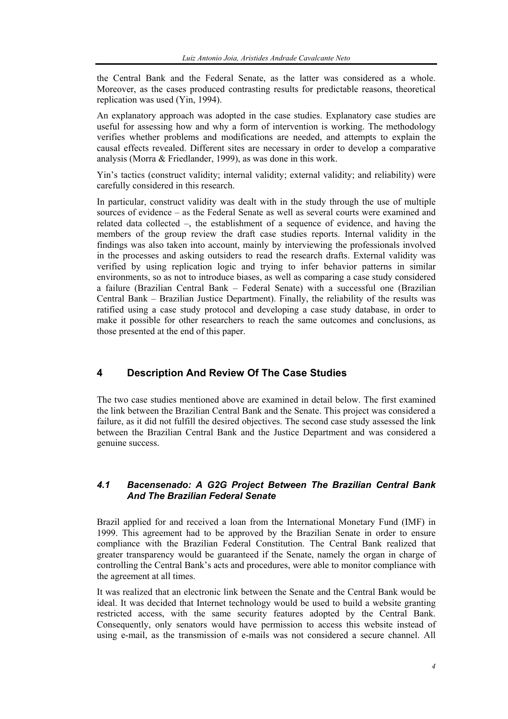the Central Bank and the Federal Senate, as the latter was considered as a whole. Moreover, as the cases produced contrasting results for predictable reasons, theoretical replication was used (Yin, 1994).

An explanatory approach was adopted in the case studies. Explanatory case studies are useful for assessing how and why a form of intervention is working. The methodology verifies whether problems and modifications are needed, and attempts to explain the causal effects revealed. Different sites are necessary in order to develop a comparative analysis (Morra & Friedlander, 1999), as was done in this work.

Yin's tactics (construct validity; internal validity; external validity; and reliability) were carefully considered in this research.

In particular, construct validity was dealt with in the study through the use of multiple sources of evidence – as the Federal Senate as well as several courts were examined and related data collected –, the establishment of a sequence of evidence, and having the members of the group review the draft case studies reports. Internal validity in the findings was also taken into account, mainly by interviewing the professionals involved in the processes and asking outsiders to read the research drafts. External validity was verified by using replication logic and trying to infer behavior patterns in similar environments, so as not to introduce biases, as well as comparing a case study considered a failure (Brazilian Central Bank – Federal Senate) with a successful one (Brazilian Central Bank – Brazilian Justice Department). Finally, the reliability of the results was ratified using a case study protocol and developing a case study database, in order to make it possible for other researchers to reach the same outcomes and conclusions, as those presented at the end of this paper.

#### **4 Description And Review Of The Case Studies**

The two case studies mentioned above are examined in detail below. The first examined the link between the Brazilian Central Bank and the Senate. This project was considered a failure, as it did not fulfill the desired objectives. The second case study assessed the link between the Brazilian Central Bank and the Justice Department and was considered a genuine success.

#### *4.1 Bacensenado: A G2G Project Between The Brazilian Central Bank And The Brazilian Federal Senate*

Brazil applied for and received a loan from the International Monetary Fund (IMF) in 1999. This agreement had to be approved by the Brazilian Senate in order to ensure compliance with the Brazilian Federal Constitution. The Central Bank realized that greater transparency would be guaranteed if the Senate, namely the organ in charge of controlling the Central Bank's acts and procedures, were able to monitor compliance with the agreement at all times.

It was realized that an electronic link between the Senate and the Central Bank would be ideal. It was decided that Internet technology would be used to build a website granting restricted access, with the same security features adopted by the Central Bank. Consequently, only senators would have permission to access this website instead of using e-mail, as the transmission of e-mails was not considered a secure channel. All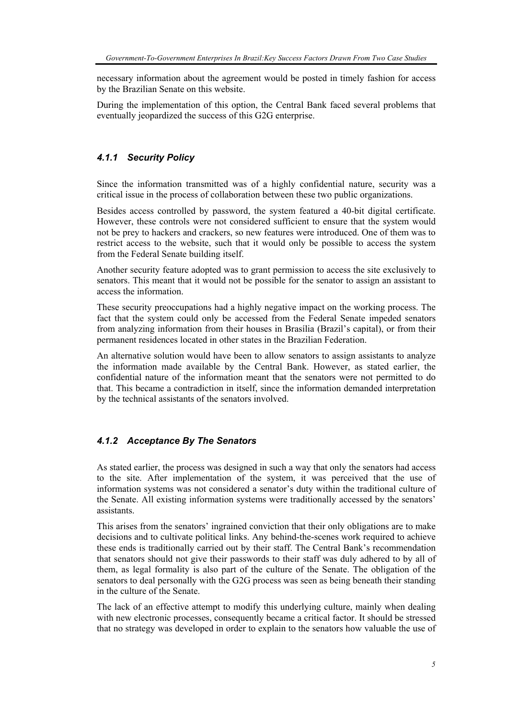necessary information about the agreement would be posted in timely fashion for access by the Brazilian Senate on this website.

During the implementation of this option, the Central Bank faced several problems that eventually jeopardized the success of this G2G enterprise.

### *4.1.1 Security Policy*

Since the information transmitted was of a highly confidential nature, security was a critical issue in the process of collaboration between these two public organizations.

Besides access controlled by password, the system featured a 40-bit digital certificate. However, these controls were not considered sufficient to ensure that the system would not be prey to hackers and crackers, so new features were introduced. One of them was to restrict access to the website, such that it would only be possible to access the system from the Federal Senate building itself.

Another security feature adopted was to grant permission to access the site exclusively to senators. This meant that it would not be possible for the senator to assign an assistant to access the information.

These security preoccupations had a highly negative impact on the working process. The fact that the system could only be accessed from the Federal Senate impeded senators from analyzing information from their houses in Brasília (Brazil's capital), or from their permanent residences located in other states in the Brazilian Federation.

An alternative solution would have been to allow senators to assign assistants to analyze the information made available by the Central Bank. However, as stated earlier, the confidential nature of the information meant that the senators were not permitted to do that. This became a contradiction in itself, since the information demanded interpretation by the technical assistants of the senators involved.

#### *4.1.2 Acceptance By The Senators*

As stated earlier, the process was designed in such a way that only the senators had access to the site. After implementation of the system, it was perceived that the use of information systems was not considered a senator's duty within the traditional culture of the Senate. All existing information systems were traditionally accessed by the senators' assistants.

This arises from the senators' ingrained conviction that their only obligations are to make decisions and to cultivate political links. Any behind-the-scenes work required to achieve these ends is traditionally carried out by their staff. The Central Bank's recommendation that senators should not give their passwords to their staff was duly adhered to by all of them, as legal formality is also part of the culture of the Senate. The obligation of the senators to deal personally with the G2G process was seen as being beneath their standing in the culture of the Senate.

The lack of an effective attempt to modify this underlying culture, mainly when dealing with new electronic processes, consequently became a critical factor. It should be stressed that no strategy was developed in order to explain to the senators how valuable the use of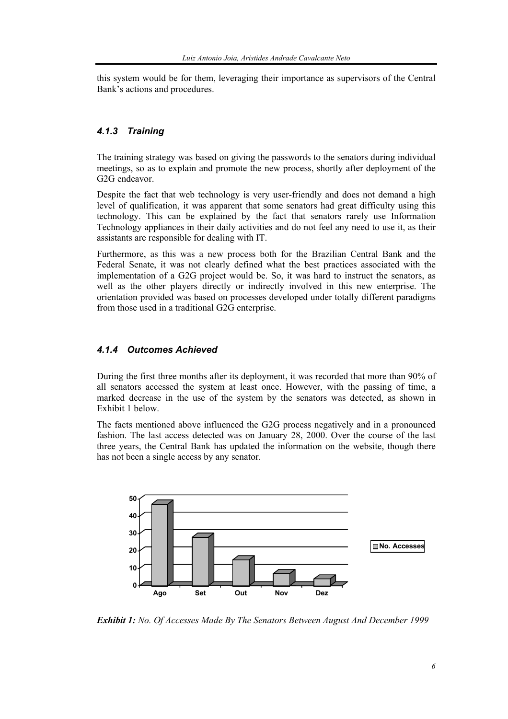this system would be for them, leveraging their importance as supervisors of the Central Bank's actions and procedures.

### *4.1.3 Training*

The training strategy was based on giving the passwords to the senators during individual meetings, so as to explain and promote the new process, shortly after deployment of the G2G endeavor.

Despite the fact that web technology is very user-friendly and does not demand a high level of qualification, it was apparent that some senators had great difficulty using this technology. This can be explained by the fact that senators rarely use Information Technology appliances in their daily activities and do not feel any need to use it, as their assistants are responsible for dealing with IT.

Furthermore, as this was a new process both for the Brazilian Central Bank and the Federal Senate, it was not clearly defined what the best practices associated with the implementation of a G2G project would be. So, it was hard to instruct the senators, as well as the other players directly or indirectly involved in this new enterprise. The orientation provided was based on processes developed under totally different paradigms from those used in a traditional G2G enterprise.

#### *4.1.4 Outcomes Achieved*

During the first three months after its deployment, it was recorded that more than 90% of all senators accessed the system at least once. However, with the passing of time, a marked decrease in the use of the system by the senators was detected, as shown in Exhibit 1 below.

The facts mentioned above influenced the G2G process negatively and in a pronounced fashion. The last access detected was on January 28, 2000. Over the course of the last three years, the Central Bank has updated the information on the website, though there has not been a single access by any senator.



*Exhibit 1: No. Of Accesses Made By The Senators Between August And December 1999*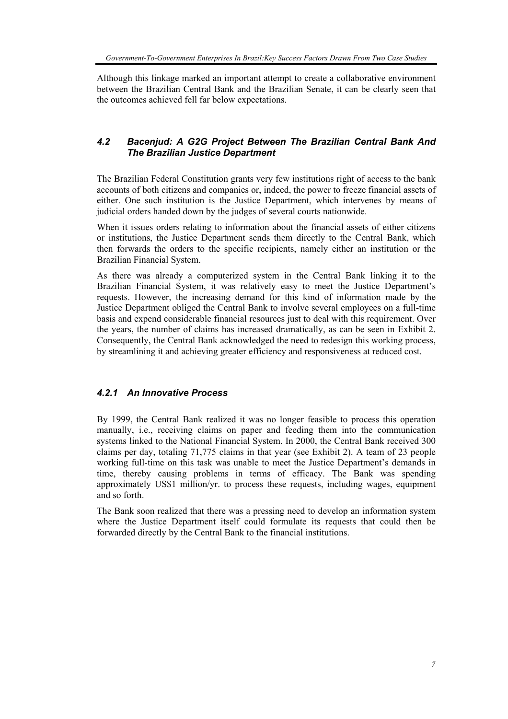Although this linkage marked an important attempt to create a collaborative environment between the Brazilian Central Bank and the Brazilian Senate, it can be clearly seen that the outcomes achieved fell far below expectations.

## *4.2 Bacenjud: A G2G Project Between The Brazilian Central Bank And The Brazilian Justice Department*

The Brazilian Federal Constitution grants very few institutions right of access to the bank accounts of both citizens and companies or, indeed, the power to freeze financial assets of either. One such institution is the Justice Department, which intervenes by means of judicial orders handed down by the judges of several courts nationwide.

When it issues orders relating to information about the financial assets of either citizens or institutions, the Justice Department sends them directly to the Central Bank, which then forwards the orders to the specific recipients, namely either an institution or the Brazilian Financial System.

As there was already a computerized system in the Central Bank linking it to the Brazilian Financial System, it was relatively easy to meet the Justice Department's requests. However, the increasing demand for this kind of information made by the Justice Department obliged the Central Bank to involve several employees on a full-time basis and expend considerable financial resources just to deal with this requirement. Over the years, the number of claims has increased dramatically, as can be seen in Exhibit 2. Consequently, the Central Bank acknowledged the need to redesign this working process, by streamlining it and achieving greater efficiency and responsiveness at reduced cost.

#### *4.2.1 An Innovative Process*

By 1999, the Central Bank realized it was no longer feasible to process this operation manually, i.e., receiving claims on paper and feeding them into the communication systems linked to the National Financial System. In 2000, the Central Bank received 300 claims per day, totaling 71,775 claims in that year (see Exhibit 2). A team of 23 people working full-time on this task was unable to meet the Justice Department's demands in time, thereby causing problems in terms of efficacy. The Bank was spending approximately US\$1 million/yr. to process these requests, including wages, equipment and so forth.

The Bank soon realized that there was a pressing need to develop an information system where the Justice Department itself could formulate its requests that could then be forwarded directly by the Central Bank to the financial institutions.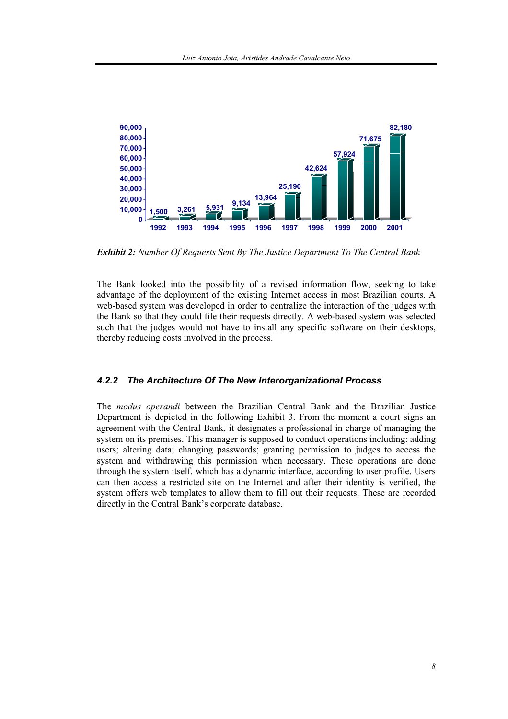

*Exhibit 2: Number Of Requests Sent By The Justice Department To The Central Bank* 

The Bank looked into the possibility of a revised information flow, seeking to take advantage of the deployment of the existing Internet access in most Brazilian courts. A web-based system was developed in order to centralize the interaction of the judges with the Bank so that they could file their requests directly. A web-based system was selected such that the judges would not have to install any specific software on their desktops, thereby reducing costs involved in the process.

#### *4.2.2 The Architecture Of The New Interorganizational Process*

The *modus operandi* between the Brazilian Central Bank and the Brazilian Justice Department is depicted in the following Exhibit 3. From the moment a court signs an agreement with the Central Bank, it designates a professional in charge of managing the system on its premises. This manager is supposed to conduct operations including: adding users; altering data; changing passwords; granting permission to judges to access the system and withdrawing this permission when necessary. These operations are done through the system itself, which has a dynamic interface, according to user profile. Users can then access a restricted site on the Internet and after their identity is verified, the system offers web templates to allow them to fill out their requests. These are recorded directly in the Central Bank's corporate database.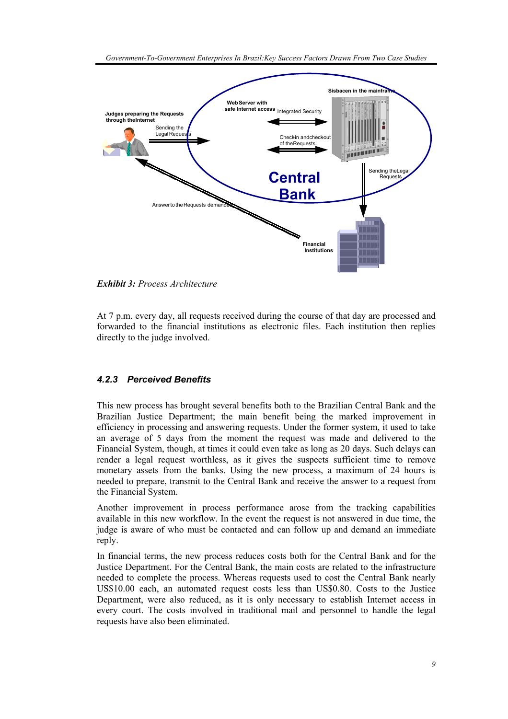

*Exhibit 3: Process Architecture* 

At 7 p.m. every day, all requests received during the course of that day are processed and forwarded to the financial institutions as electronic files. Each institution then replies directly to the judge involved.

#### *4.2.3 Perceived Benefits*

This new process has brought several benefits both to the Brazilian Central Bank and the Brazilian Justice Department; the main benefit being the marked improvement in efficiency in processing and answering requests. Under the former system, it used to take an average of 5 days from the moment the request was made and delivered to the Financial System, though, at times it could even take as long as 20 days. Such delays can render a legal request worthless, as it gives the suspects sufficient time to remove monetary assets from the banks. Using the new process, a maximum of 24 hours is needed to prepare, transmit to the Central Bank and receive the answer to a request from the Financial System.

Another improvement in process performance arose from the tracking capabilities available in this new workflow. In the event the request is not answered in due time, the judge is aware of who must be contacted and can follow up and demand an immediate reply.

In financial terms, the new process reduces costs both for the Central Bank and for the Justice Department. For the Central Bank, the main costs are related to the infrastructure needed to complete the process. Whereas requests used to cost the Central Bank nearly US\$10.00 each, an automated request costs less than US\$0.80. Costs to the Justice Department, were also reduced, as it is only necessary to establish Internet access in every court. The costs involved in traditional mail and personnel to handle the legal requests have also been eliminated.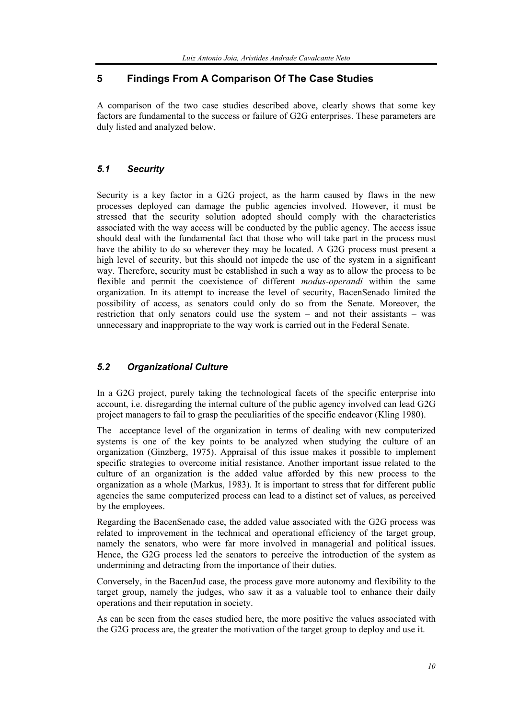## **5 Findings From A Comparison Of The Case Studies**

A comparison of the two case studies described above, clearly shows that some key factors are fundamental to the success or failure of G2G enterprises. These parameters are duly listed and analyzed below.

### *5.1 Security*

Security is a key factor in a G2G project, as the harm caused by flaws in the new processes deployed can damage the public agencies involved. However, it must be stressed that the security solution adopted should comply with the characteristics associated with the way access will be conducted by the public agency. The access issue should deal with the fundamental fact that those who will take part in the process must have the ability to do so wherever they may be located. A G2G process must present a high level of security, but this should not impede the use of the system in a significant way. Therefore, security must be established in such a way as to allow the process to be flexible and permit the coexistence of different *modus-operandi* within the same organization. In its attempt to increase the level of security, BacenSenado limited the possibility of access, as senators could only do so from the Senate. Moreover, the restriction that only senators could use the system – and not their assistants – was unnecessary and inappropriate to the way work is carried out in the Federal Senate.

#### *5.2 Organizational Culture*

In a G2G project, purely taking the technological facets of the specific enterprise into account, i.e. disregarding the internal culture of the public agency involved can lead G2G project managers to fail to grasp the peculiarities of the specific endeavor (Kling 1980).

The acceptance level of the organization in terms of dealing with new computerized systems is one of the key points to be analyzed when studying the culture of an organization (Ginzberg, 1975). Appraisal of this issue makes it possible to implement specific strategies to overcome initial resistance. Another important issue related to the culture of an organization is the added value afforded by this new process to the organization as a whole (Markus, 1983). It is important to stress that for different public agencies the same computerized process can lead to a distinct set of values, as perceived by the employees.

Regarding the BacenSenado case, the added value associated with the G2G process was related to improvement in the technical and operational efficiency of the target group, namely the senators, who were far more involved in managerial and political issues. Hence, the G2G process led the senators to perceive the introduction of the system as undermining and detracting from the importance of their duties.

Conversely, in the BacenJud case, the process gave more autonomy and flexibility to the target group, namely the judges, who saw it as a valuable tool to enhance their daily operations and their reputation in society.

As can be seen from the cases studied here, the more positive the values associated with the G2G process are, the greater the motivation of the target group to deploy and use it.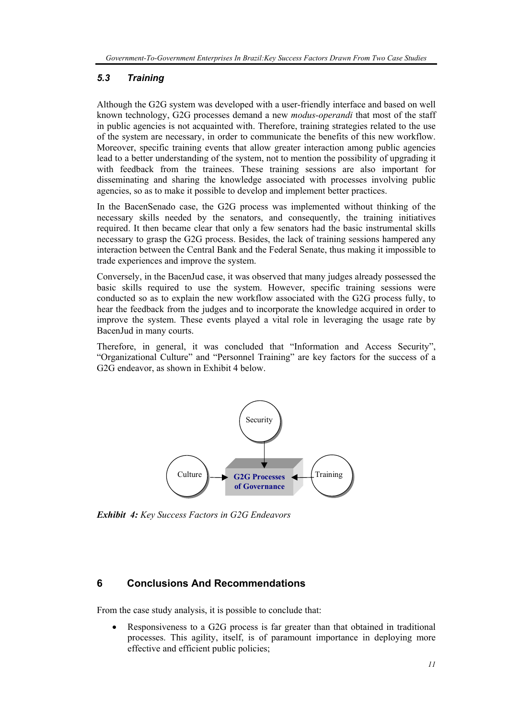## *5.3 Training*

Although the G2G system was developed with a user-friendly interface and based on well known technology, G2G processes demand a new *modus-operandi* that most of the staff in public agencies is not acquainted with. Therefore, training strategies related to the use of the system are necessary, in order to communicate the benefits of this new workflow. Moreover, specific training events that allow greater interaction among public agencies lead to a better understanding of the system, not to mention the possibility of upgrading it with feedback from the trainees. These training sessions are also important for disseminating and sharing the knowledge associated with processes involving public agencies, so as to make it possible to develop and implement better practices.

In the BacenSenado case, the G2G process was implemented without thinking of the necessary skills needed by the senators, and consequently, the training initiatives required. It then became clear that only a few senators had the basic instrumental skills necessary to grasp the G2G process. Besides, the lack of training sessions hampered any interaction between the Central Bank and the Federal Senate, thus making it impossible to trade experiences and improve the system.

Conversely, in the BacenJud case, it was observed that many judges already possessed the basic skills required to use the system. However, specific training sessions were conducted so as to explain the new workflow associated with the G2G process fully, to hear the feedback from the judges and to incorporate the knowledge acquired in order to improve the system. These events played a vital role in leveraging the usage rate by BacenJud in many courts.

Therefore, in general, it was concluded that "Information and Access Security", "Organizational Culture" and "Personnel Training" are key factors for the success of a G2G endeavor, as shown in Exhibit 4 below.



*Exhibit 4: Key Success Factors in G2G Endeavors* 

## **6 Conclusions And Recommendations**

From the case study analysis, it is possible to conclude that:

• Responsiveness to a G2G process is far greater than that obtained in traditional processes. This agility, itself, is of paramount importance in deploying more effective and efficient public policies;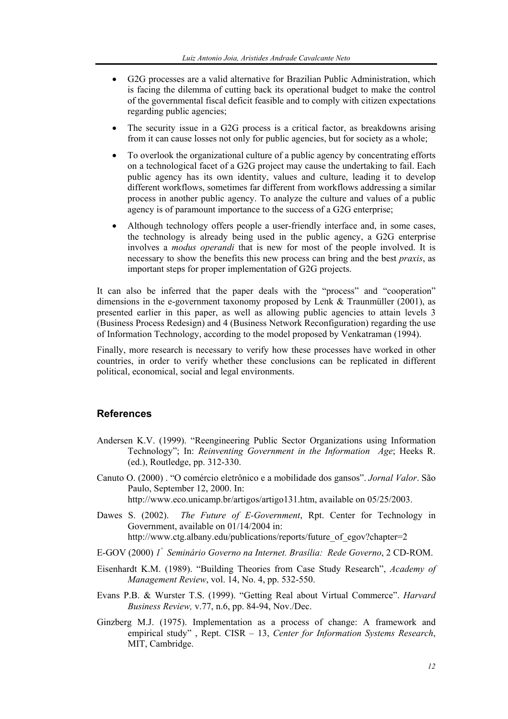- G2G processes are a valid alternative for Brazilian Public Administration, which is facing the dilemma of cutting back its operational budget to make the control of the governmental fiscal deficit feasible and to comply with citizen expectations regarding public agencies;
- The security issue in a G2G process is a critical factor, as breakdowns arising from it can cause losses not only for public agencies, but for society as a whole;
- To overlook the organizational culture of a public agency by concentrating efforts on a technological facet of a G2G project may cause the undertaking to fail. Each public agency has its own identity, values and culture, leading it to develop different workflows, sometimes far different from workflows addressing a similar process in another public agency. To analyze the culture and values of a public agency is of paramount importance to the success of a G2G enterprise;
- Although technology offers people a user-friendly interface and, in some cases, the technology is already being used in the public agency, a G2G enterprise involves a *modus operandi* that is new for most of the people involved. It is necessary to show the benefits this new process can bring and the best *praxis*, as important steps for proper implementation of G2G projects.

It can also be inferred that the paper deals with the "process" and "cooperation" dimensions in the e-government taxonomy proposed by Lenk  $\&$  Traunmüller (2001), as presented earlier in this paper, as well as allowing public agencies to attain levels 3 (Business Process Redesign) and 4 (Business Network Reconfiguration) regarding the use of Information Technology, according to the model proposed by Venkatraman (1994).

Finally, more research is necessary to verify how these processes have worked in other countries, in order to verify whether these conclusions can be replicated in different political, economical, social and legal environments.

#### **References**

- Andersen K.V. (1999). "Reengineering Public Sector Organizations using Information Technology"; In: *Reinventing Government in the Information Age*; Heeks R. (ed.), Routledge, pp. 312-330.
- Canuto O. (2000) . "O comércio eletrônico e a mobilidade dos gansos". *Jornal Valor*. São Paulo, September 12, 2000. In: http://www.eco.unicamp.br/artigos/artigo131.htm, available on 05/25/2003.
- Dawes S. (2002). *The Future of E-Government*, Rpt. Center for Technology in Government, available on 01/14/2004 in: http://www.ctg.albany.edu/publications/reports/future\_of\_egov?chapter=2
- E-GOV (2000) *1<sup>º</sup> Seminário Governo na Internet. Brasília: Rede Governo*, 2 CD-ROM.
- Eisenhardt K.M. (1989). "Building Theories from Case Study Research", *Academy of Management Review*, vol. 14, No. 4, pp. 532-550.
- Evans P.B. & Wurster T.S. (1999). "Getting Real about Virtual Commerce". *Harvard Business Review,* v.77, n.6, pp. 84-94, Nov./Dec.
- Ginzberg M.J. (1975). Implementation as a process of change: A framework and empirical study" , Rept. CISR – 13, *Center for Information Systems Research*, MIT, Cambridge.